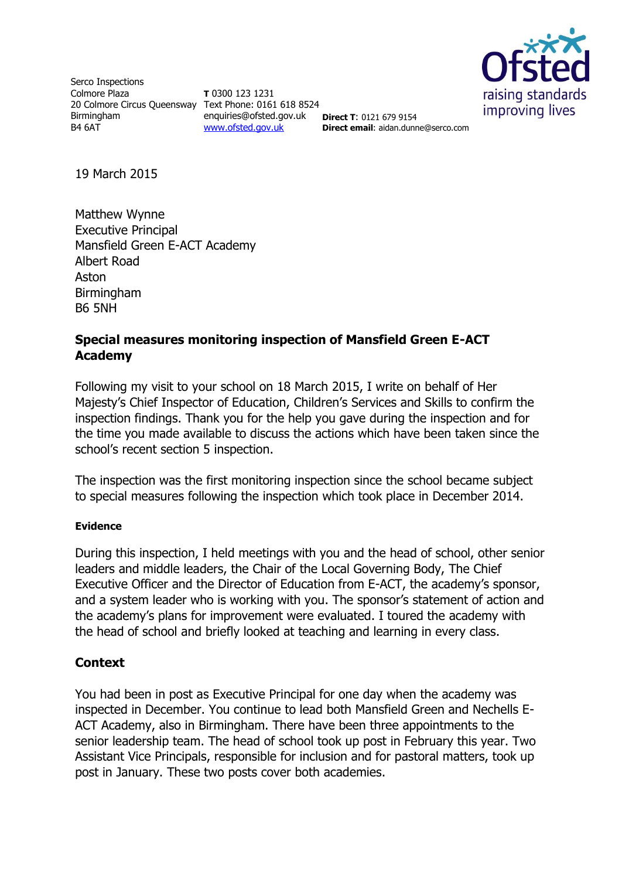

Serco Inspections Colmore Plaza 20 Colmore Circus Queensway Text Phone: 0161 618 8524 Birmingham B4 6AT

**T** 0300 123 1231 enquiries@ofsted.gov.uk [www.ofsted.gov.uk](http://www.ofsted.gov.uk)

**Direct T**: 0121 679 9154 **Direct email**: aidan.dunne@serco.com

19 March 2015

Matthew Wynne Executive Principal Mansfield Green E-ACT Academy Albert Road Aston Birmingham B6 5NH

# **Special measures monitoring inspection of Mansfield Green E-ACT Academy**

Following my visit to your school on 18 March 2015, I write on behalf of Her Majesty's Chief Inspector of Education, Children's Services and Skills to confirm the inspection findings. Thank you for the help you gave during the inspection and for the time you made available to discuss the actions which have been taken since the school's recent section 5 inspection.

The inspection was the first monitoring inspection since the school became subject to special measures following the inspection which took place in December 2014.

#### **Evidence**

During this inspection, I held meetings with you and the head of school, other senior leaders and middle leaders, the Chair of the Local Governing Body, The Chief Executive Officer and the Director of Education from E-ACT, the academy's sponsor, and a system leader who is working with you. The sponsor's statement of action and the academy's plans for improvement were evaluated. I toured the academy with the head of school and briefly looked at teaching and learning in every class.

### **Context**

You had been in post as Executive Principal for one day when the academy was inspected in December. You continue to lead both Mansfield Green and Nechells E-ACT Academy, also in Birmingham. There have been three appointments to the senior leadership team. The head of school took up post in February this year. Two Assistant Vice Principals, responsible for inclusion and for pastoral matters, took up post in January. These two posts cover both academies.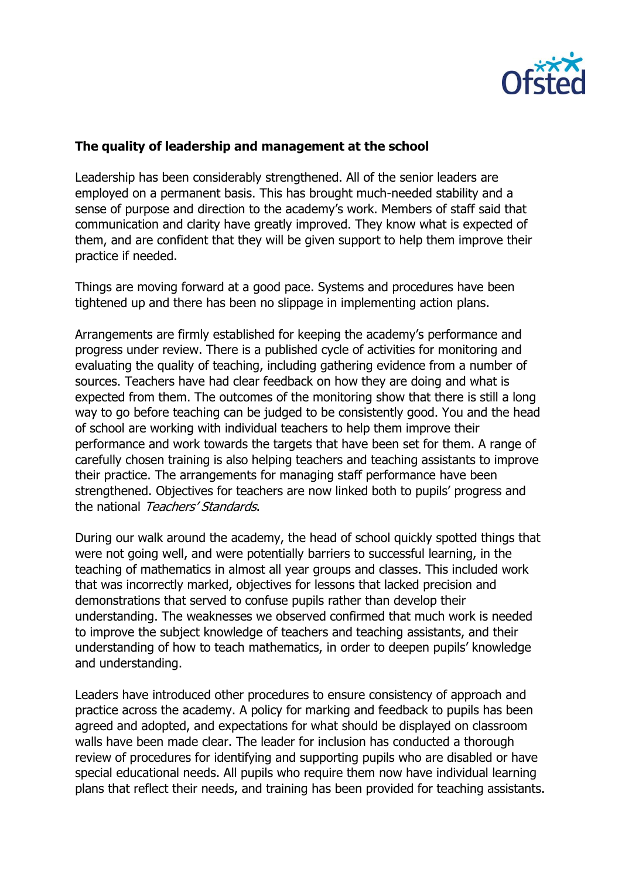

### **The quality of leadership and management at the school**

Leadership has been considerably strengthened. All of the senior leaders are employed on a permanent basis. This has brought much-needed stability and a sense of purpose and direction to the academy's work. Members of staff said that communication and clarity have greatly improved. They know what is expected of them, and are confident that they will be given support to help them improve their practice if needed.

Things are moving forward at a good pace. Systems and procedures have been tightened up and there has been no slippage in implementing action plans.

Arrangements are firmly established for keeping the academy's performance and progress under review. There is a published cycle of activities for monitoring and evaluating the quality of teaching, including gathering evidence from a number of sources. Teachers have had clear feedback on how they are doing and what is expected from them. The outcomes of the monitoring show that there is still a long way to go before teaching can be judged to be consistently good. You and the head of school are working with individual teachers to help them improve their performance and work towards the targets that have been set for them. A range of carefully chosen training is also helping teachers and teaching assistants to improve their practice. The arrangements for managing staff performance have been strengthened. Objectives for teachers are now linked both to pupils' progress and the national Teachers' Standards.

During our walk around the academy, the head of school quickly spotted things that were not going well, and were potentially barriers to successful learning, in the teaching of mathematics in almost all year groups and classes. This included work that was incorrectly marked, objectives for lessons that lacked precision and demonstrations that served to confuse pupils rather than develop their understanding. The weaknesses we observed confirmed that much work is needed to improve the subject knowledge of teachers and teaching assistants, and their understanding of how to teach mathematics, in order to deepen pupils' knowledge and understanding.

Leaders have introduced other procedures to ensure consistency of approach and practice across the academy. A policy for marking and feedback to pupils has been agreed and adopted, and expectations for what should be displayed on classroom walls have been made clear. The leader for inclusion has conducted a thorough review of procedures for identifying and supporting pupils who are disabled or have special educational needs. All pupils who require them now have individual learning plans that reflect their needs, and training has been provided for teaching assistants.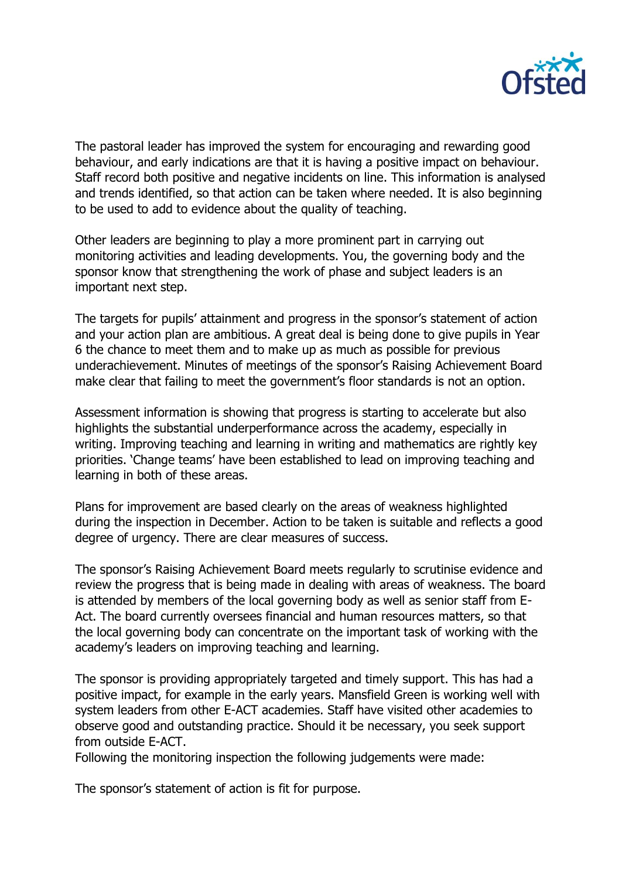

The pastoral leader has improved the system for encouraging and rewarding good behaviour, and early indications are that it is having a positive impact on behaviour. Staff record both positive and negative incidents on line. This information is analysed and trends identified, so that action can be taken where needed. It is also beginning to be used to add to evidence about the quality of teaching.

Other leaders are beginning to play a more prominent part in carrying out monitoring activities and leading developments. You, the governing body and the sponsor know that strengthening the work of phase and subject leaders is an important next step.

The targets for pupils' attainment and progress in the sponsor's statement of action and your action plan are ambitious. A great deal is being done to give pupils in Year 6 the chance to meet them and to make up as much as possible for previous underachievement. Minutes of meetings of the sponsor's Raising Achievement Board make clear that failing to meet the government's floor standards is not an option.

Assessment information is showing that progress is starting to accelerate but also highlights the substantial underperformance across the academy, especially in writing. Improving teaching and learning in writing and mathematics are rightly key priorities. 'Change teams' have been established to lead on improving teaching and learning in both of these areas.

Plans for improvement are based clearly on the areas of weakness highlighted during the inspection in December. Action to be taken is suitable and reflects a good degree of urgency. There are clear measures of success.

The sponsor's Raising Achievement Board meets regularly to scrutinise evidence and review the progress that is being made in dealing with areas of weakness. The board is attended by members of the local governing body as well as senior staff from E-Act. The board currently oversees financial and human resources matters, so that the local governing body can concentrate on the important task of working with the academy's leaders on improving teaching and learning.

The sponsor is providing appropriately targeted and timely support. This has had a positive impact, for example in the early years. Mansfield Green is working well with system leaders from other E-ACT academies. Staff have visited other academies to observe good and outstanding practice. Should it be necessary, you seek support from outside E-ACT.

Following the monitoring inspection the following judgements were made:

The sponsor's statement of action is fit for purpose.